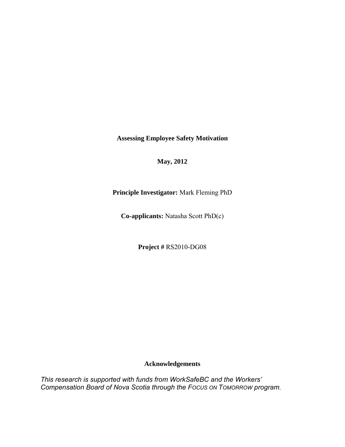**Assessing Employee Safety Motivation** 

**May, 2012** 

**Principle Investigator:** Mark Fleming PhD

**Co-applicants:** Natasha Scott PhD(c)

**Project #** RS2010-DG08

#### **Acknowledgements**

*This research is supported with funds from WorkSafeBC and the Workers' Compensation Board of Nova Scotia through the FOCUS ON TOMORROW program*.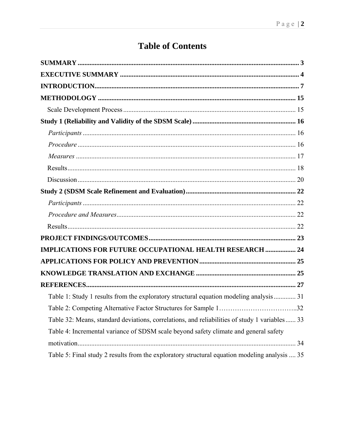# **Table of Contents**

| <b>IMPLICATIONS FOR FUTURE OCCUPATIONAL HEALTH RESEARCH  24</b>                                |
|------------------------------------------------------------------------------------------------|
|                                                                                                |
|                                                                                                |
|                                                                                                |
| Table 1: Study 1 results from the exploratory structural equation modeling analysis 31         |
|                                                                                                |
| Table 32: Means, standard deviations, correlations, and reliabilities of study 1 variables  33 |
| Table 4: Incremental variance of SDSM scale beyond safety climate and general safety           |
|                                                                                                |
| Table 5: Final study 2 results from the exploratory structural equation modeling analysis  35  |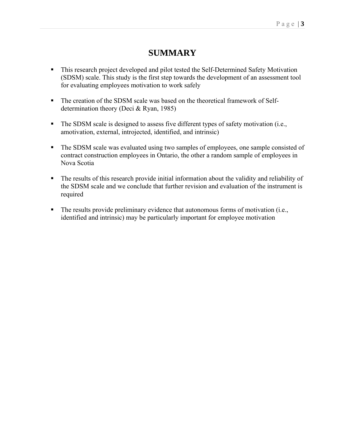## **SUMMARY**

- **This research project developed and pilot tested the Self-Determined Safety Motivation** (SDSM) scale. This study is the first step towards the development of an assessment tool for evaluating employees motivation to work safely
- The creation of the SDSM scale was based on the theoretical framework of Selfdetermination theory (Deci & Ryan, 1985)
- The SDSM scale is designed to assess five different types of safety motivation (i.e., amotivation, external, introjected, identified, and intrinsic)
- The SDSM scale was evaluated using two samples of employees, one sample consisted of contract construction employees in Ontario, the other a random sample of employees in Nova Scotia
- The results of this research provide initial information about the validity and reliability of the SDSM scale and we conclude that further revision and evaluation of the instrument is required
- The results provide preliminary evidence that autonomous forms of motivation (i.e., identified and intrinsic) may be particularly important for employee motivation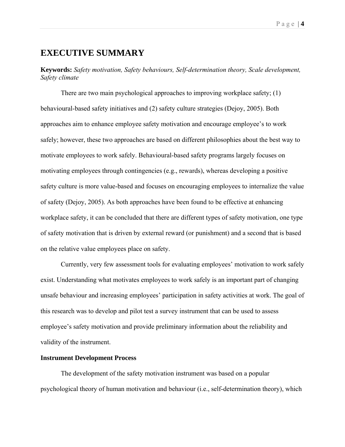### **EXECUTIVE SUMMARY**

**Keywords:** *Safety motivation, Safety behaviours, Self-determination theory, Scale development, Safety climate* 

There are two main psychological approaches to improving workplace safety; (1) behavioural-based safety initiatives and (2) safety culture strategies (Dejoy, 2005). Both approaches aim to enhance employee safety motivation and encourage employee's to work safely; however, these two approaches are based on different philosophies about the best way to motivate employees to work safely. Behavioural-based safety programs largely focuses on motivating employees through contingencies (e.g., rewards), whereas developing a positive safety culture is more value-based and focuses on encouraging employees to internalize the value of safety (Dejoy, 2005). As both approaches have been found to be effective at enhancing workplace safety, it can be concluded that there are different types of safety motivation, one type of safety motivation that is driven by external reward (or punishment) and a second that is based on the relative value employees place on safety.

Currently, very few assessment tools for evaluating employees' motivation to work safely exist. Understanding what motivates employees to work safely is an important part of changing unsafe behaviour and increasing employees' participation in safety activities at work. The goal of this research was to develop and pilot test a survey instrument that can be used to assess employee's safety motivation and provide preliminary information about the reliability and validity of the instrument.

#### **Instrument Development Process**

 The development of the safety motivation instrument was based on a popular psychological theory of human motivation and behaviour (i.e., self-determination theory), which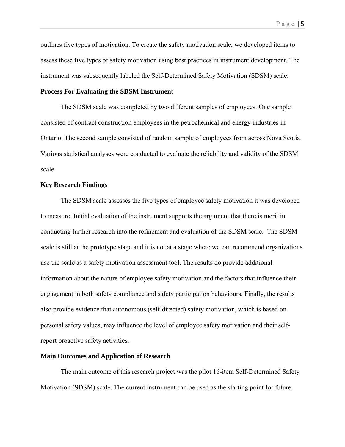outlines five types of motivation. To create the safety motivation scale, we developed items to assess these five types of safety motivation using best practices in instrument development. The instrument was subsequently labeled the Self-Determined Safety Motivation (SDSM) scale.

#### **Process For Evaluating the SDSM Instrument**

 The SDSM scale was completed by two different samples of employees. One sample consisted of contract construction employees in the petrochemical and energy industries in Ontario. The second sample consisted of random sample of employees from across Nova Scotia. Various statistical analyses were conducted to evaluate the reliability and validity of the SDSM scale.

#### **Key Research Findings**

The SDSM scale assesses the five types of employee safety motivation it was developed to measure. Initial evaluation of the instrument supports the argument that there is merit in conducting further research into the refinement and evaluation of the SDSM scale. The SDSM scale is still at the prototype stage and it is not at a stage where we can recommend organizations use the scale as a safety motivation assessment tool. The results do provide additional information about the nature of employee safety motivation and the factors that influence their engagement in both safety compliance and safety participation behaviours. Finally, the results also provide evidence that autonomous (self-directed) safety motivation, which is based on personal safety values, may influence the level of employee safety motivation and their selfreport proactive safety activities.

#### **Main Outcomes and Application of Research**

The main outcome of this research project was the pilot 16-item Self-Determined Safety Motivation (SDSM) scale. The current instrument can be used as the starting point for future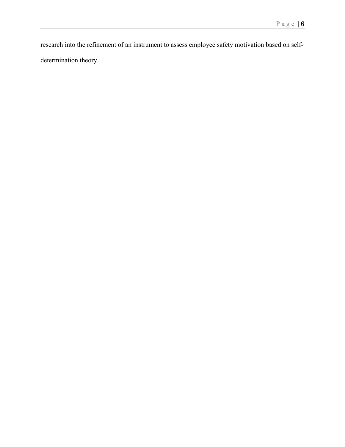research into the refinement of an instrument to assess employee safety motivation based on selfdetermination theory.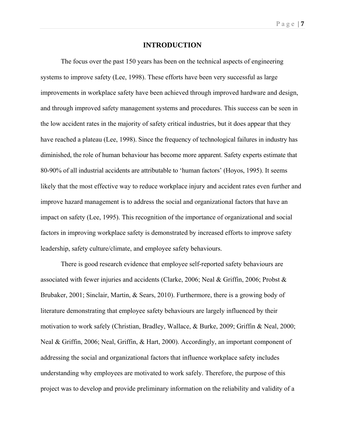#### **INTRODUCTION**

The focus over the past 150 years has been on the technical aspects of engineering systems to improve safety (Lee, 1998). These efforts have been very successful as large improvements in workplace safety have been achieved through improved hardware and design, and through improved safety management systems and procedures. This success can be seen in the low accident rates in the majority of safety critical industries, but it does appear that they have reached a plateau (Lee, 1998). Since the frequency of technological failures in industry has diminished, the role of human behaviour has become more apparent. Safety experts estimate that 80-90% of all industrial accidents are attributable to 'human factors' (Hoyos, 1995). It seems likely that the most effective way to reduce workplace injury and accident rates even further and improve hazard management is to address the social and organizational factors that have an impact on safety (Lee, 1995). This recognition of the importance of organizational and social factors in improving workplace safety is demonstrated by increased efforts to improve safety leadership, safety culture/climate, and employee safety behaviours.

There is good research evidence that employee self-reported safety behaviours are associated with fewer injuries and accidents (Clarke, 2006; Neal & Griffin, 2006; Probst & Brubaker, 2001; Sinclair, Martin, & Sears, 2010). Furthermore, there is a growing body of literature demonstrating that employee safety behaviours are largely influenced by their motivation to work safely (Christian, Bradley, Wallace, & Burke, 2009; Griffin & Neal, 2000; Neal & Griffin, 2006; Neal, Griffin, & Hart, 2000). Accordingly, an important component of addressing the social and organizational factors that influence workplace safety includes understanding why employees are motivated to work safely. Therefore, the purpose of this project was to develop and provide preliminary information on the reliability and validity of a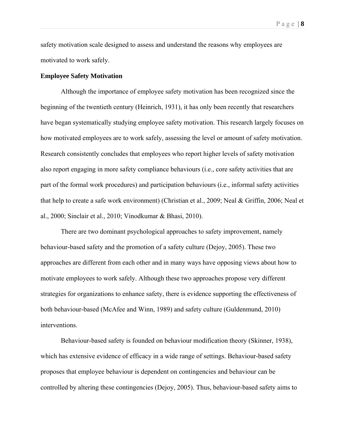safety motivation scale designed to assess and understand the reasons why employees are motivated to work safely.

#### **Employee Safety Motivation**

Although the importance of employee safety motivation has been recognized since the beginning of the twentieth century (Heinrich, 1931), it has only been recently that researchers have began systematically studying employee safety motivation. This research largely focuses on how motivated employees are to work safely, assessing the level or amount of safety motivation. Research consistently concludes that employees who report higher levels of safety motivation also report engaging in more safety compliance behaviours (i.e., core safety activities that are part of the formal work procedures) and participation behaviours (i.e., informal safety activities that help to create a safe work environment) (Christian et al., 2009; Neal & Griffin, 2006; Neal et al., 2000; Sinclair et al., 2010; Vinodkumar & Bhasi, 2010).

There are two dominant psychological approaches to safety improvement, namely behaviour-based safety and the promotion of a safety culture (Dejoy, 2005). These two approaches are different from each other and in many ways have opposing views about how to motivate employees to work safely. Although these two approaches propose very different strategies for organizations to enhance safety, there is evidence supporting the effectiveness of both behaviour-based (McAfee and Winn, 1989) and safety culture (Guldenmund, 2010) interventions.

Behaviour-based safety is founded on behaviour modification theory (Skinner, 1938), which has extensive evidence of efficacy in a wide range of settings. Behaviour-based safety proposes that employee behaviour is dependent on contingencies and behaviour can be controlled by altering these contingencies (Dejoy, 2005). Thus, behaviour-based safety aims to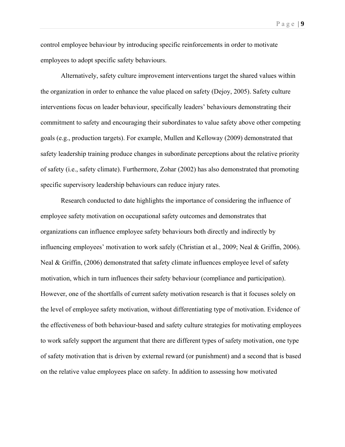control employee behaviour by introducing specific reinforcements in order to motivate employees to adopt specific safety behaviours.

Alternatively, safety culture improvement interventions target the shared values within the organization in order to enhance the value placed on safety (Dejoy, 2005). Safety culture interventions focus on leader behaviour, specifically leaders' behaviours demonstrating their commitment to safety and encouraging their subordinates to value safety above other competing goals (e.g., production targets). For example, Mullen and Kelloway (2009) demonstrated that safety leadership training produce changes in subordinate perceptions about the relative priority of safety (i.e., safety climate). Furthermore, Zohar (2002) has also demonstrated that promoting specific supervisory leadership behaviours can reduce injury rates.

Research conducted to date highlights the importance of considering the influence of employee safety motivation on occupational safety outcomes and demonstrates that organizations can influence employee safety behaviours both directly and indirectly by influencing employees' motivation to work safely (Christian et al., 2009; Neal & Griffin, 2006). Neal & Griffin, (2006) demonstrated that safety climate influences employee level of safety motivation, which in turn influences their safety behaviour (compliance and participation). However, one of the shortfalls of current safety motivation research is that it focuses solely on the level of employee safety motivation, without differentiating type of motivation. Evidence of the effectiveness of both behaviour-based and safety culture strategies for motivating employees to work safely support the argument that there are different types of safety motivation, one type of safety motivation that is driven by external reward (or punishment) and a second that is based on the relative value employees place on safety. In addition to assessing how motivated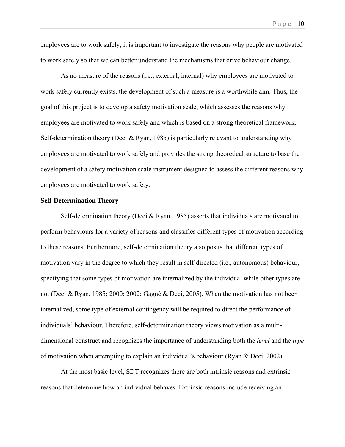employees are to work safely, it is important to investigate the reasons why people are motivated to work safely so that we can better understand the mechanisms that drive behaviour change.

As no measure of the reasons (i.e., external, internal) why employees are motivated to work safely currently exists, the development of such a measure is a worthwhile aim. Thus, the goal of this project is to develop a safety motivation scale, which assesses the reasons why employees are motivated to work safely and which is based on a strong theoretical framework. Self-determination theory (Deci  $& Ryan$ , 1985) is particularly relevant to understanding why employees are motivated to work safely and provides the strong theoretical structure to base the development of a safety motivation scale instrument designed to assess the different reasons why employees are motivated to work safety.

#### **Self-Determination Theory**

Self-determination theory (Deci & Ryan, 1985) asserts that individuals are motivated to perform behaviours for a variety of reasons and classifies different types of motivation according to these reasons. Furthermore, self-determination theory also posits that different types of motivation vary in the degree to which they result in self-directed (i.e., autonomous) behaviour, specifying that some types of motivation are internalized by the individual while other types are not (Deci & Ryan, 1985; 2000; 2002; Gagné & Deci, 2005). When the motivation has not been internalized, some type of external contingency will be required to direct the performance of individuals' behaviour. Therefore, self-determination theory views motivation as a multidimensional construct and recognizes the importance of understanding both the *level* and the *type* of motivation when attempting to explain an individual's behaviour (Ryan & Deci, 2002).

At the most basic level, SDT recognizes there are both intrinsic reasons and extrinsic reasons that determine how an individual behaves. Extrinsic reasons include receiving an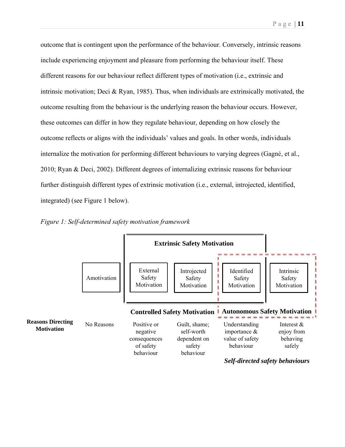outcome that is contingent upon the performance of the behaviour. Conversely, intrinsic reasons include experiencing enjoyment and pleasure from performing the behaviour itself. These different reasons for our behaviour reflect different types of motivation (i.e., extrinsic and intrinsic motivation; Deci & Ryan, 1985). Thus, when individuals are extrinsically motivated, the outcome resulting from the behaviour is the underlying reason the behaviour occurs. However, these outcomes can differ in how they regulate behaviour, depending on how closely the outcome reflects or aligns with the individuals' values and goals. In other words, individuals internalize the motivation for performing different behaviours to varying degrees (Gagné, et al., 2010; Ryan & Deci, 2002). Different degrees of internalizing extrinsic reasons for behaviour further distinguish different types of extrinsic motivation (i.e., external, introjected, identified, integrated) (see Figure 1 below).



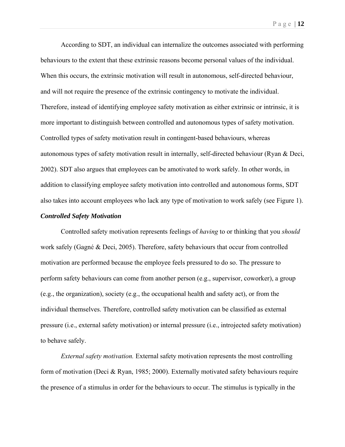According to SDT, an individual can internalize the outcomes associated with performing behaviours to the extent that these extrinsic reasons become personal values of the individual. When this occurs, the extrinsic motivation will result in autonomous, self-directed behaviour, and will not require the presence of the extrinsic contingency to motivate the individual. Therefore, instead of identifying employee safety motivation as either extrinsic or intrinsic, it is more important to distinguish between controlled and autonomous types of safety motivation. Controlled types of safety motivation result in contingent-based behaviours, whereas autonomous types of safety motivation result in internally, self-directed behaviour (Ryan & Deci, 2002). SDT also argues that employees can be amotivated to work safely. In other words, in addition to classifying employee safety motivation into controlled and autonomous forms, SDT also takes into account employees who lack any type of motivation to work safely (see Figure 1).

#### *Controlled Safety Motivation*

Controlled safety motivation represents feelings of *having* to or thinking that you *should* work safely (Gagné & Deci, 2005). Therefore, safety behaviours that occur from controlled motivation are performed because the employee feels pressured to do so. The pressure to perform safety behaviours can come from another person (e.g., supervisor, coworker), a group (e.g., the organization), society (e.g., the occupational health and safety act), or from the individual themselves. Therefore, controlled safety motivation can be classified as external pressure (i.e., external safety motivation) or internal pressure (i.e., introjected safety motivation) to behave safely.

*External safety motivation.* External safety motivation represents the most controlling form of motivation (Deci & Ryan, 1985; 2000). Externally motivated safety behaviours require the presence of a stimulus in order for the behaviours to occur. The stimulus is typically in the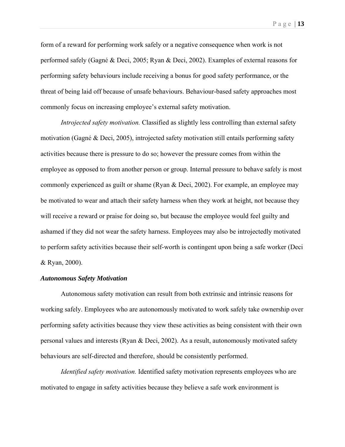form of a reward for performing work safely or a negative consequence when work is not performed safely (Gagné & Deci, 2005; Ryan & Deci, 2002). Examples of external reasons for performing safety behaviours include receiving a bonus for good safety performance, or the threat of being laid off because of unsafe behaviours. Behaviour-based safety approaches most commonly focus on increasing employee's external safety motivation.

*Introjected safety motivation.* Classified as slightly less controlling than external safety motivation (Gagné & Deci, 2005), introjected safety motivation still entails performing safety activities because there is pressure to do so; however the pressure comes from within the employee as opposed to from another person or group. Internal pressure to behave safely is most commonly experienced as guilt or shame (Ryan & Deci, 2002). For example, an employee may be motivated to wear and attach their safety harness when they work at height, not because they will receive a reward or praise for doing so, but because the employee would feel guilty and ashamed if they did not wear the safety harness. Employees may also be introjectedly motivated to perform safety activities because their self-worth is contingent upon being a safe worker (Deci & Ryan, 2000).

#### *Autonomous Safety Motivation*

Autonomous safety motivation can result from both extrinsic and intrinsic reasons for working safely. Employees who are autonomously motivated to work safely take ownership over performing safety activities because they view these activities as being consistent with their own personal values and interests (Ryan & Deci, 2002). As a result, autonomously motivated safety behaviours are self-directed and therefore, should be consistently performed.

*Identified safety motivation.* Identified safety motivation represents employees who are motivated to engage in safety activities because they believe a safe work environment is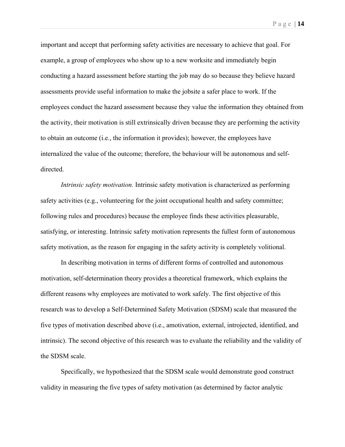important and accept that performing safety activities are necessary to achieve that goal. For example, a group of employees who show up to a new worksite and immediately begin conducting a hazard assessment before starting the job may do so because they believe hazard assessments provide useful information to make the jobsite a safer place to work. If the employees conduct the hazard assessment because they value the information they obtained from the activity, their motivation is still extrinsically driven because they are performing the activity to obtain an outcome (i.e., the information it provides); however, the employees have internalized the value of the outcome; therefore, the behaviour will be autonomous and selfdirected.

*Intrinsic safety motivation.* Intrinsic safety motivation is characterized as performing safety activities (e.g., volunteering for the joint occupational health and safety committee; following rules and procedures) because the employee finds these activities pleasurable, satisfying, or interesting. Intrinsic safety motivation represents the fullest form of autonomous safety motivation, as the reason for engaging in the safety activity is completely volitional.

In describing motivation in terms of different forms of controlled and autonomous motivation, self-determination theory provides a theoretical framework, which explains the different reasons why employees are motivated to work safely. The first objective of this research was to develop a Self-Determined Safety Motivation (SDSM) scale that measured the five types of motivation described above (i.e., amotivation, external, introjected, identified, and intrinsic). The second objective of this research was to evaluate the reliability and the validity of the SDSM scale.

Specifically, we hypothesized that the SDSM scale would demonstrate good construct validity in measuring the five types of safety motivation (as determined by factor analytic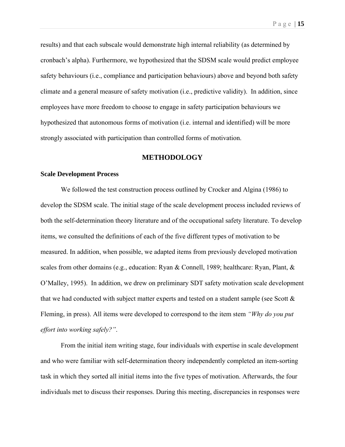results) and that each subscale would demonstrate high internal reliability (as determined by cronbach's alpha). Furthermore, we hypothesized that the SDSM scale would predict employee safety behaviours (i.e., compliance and participation behaviours) above and beyond both safety climate and a general measure of safety motivation (i.e., predictive validity). In addition, since employees have more freedom to choose to engage in safety participation behaviours we hypothesized that autonomous forms of motivation (i.e. internal and identified) will be more strongly associated with participation than controlled forms of motivation.

#### **METHODOLOGY**

#### **Scale Development Process**

We followed the test construction process outlined by Crocker and Algina (1986) to develop the SDSM scale. The initial stage of the scale development process included reviews of both the self-determination theory literature and of the occupational safety literature. To develop items, we consulted the definitions of each of the five different types of motivation to be measured. In addition, when possible, we adapted items from previously developed motivation scales from other domains (e.g., education: Ryan & Connell, 1989; healthcare: Ryan, Plant, & O'Malley, 1995). In addition, we drew on preliminary SDT safety motivation scale development that we had conducted with subject matter experts and tested on a student sample (see Scott  $\&$ Fleming, in press). All items were developed to correspond to the item stem *"Why do you put effort into working safely?"*.

From the initial item writing stage, four individuals with expertise in scale development and who were familiar with self-determination theory independently completed an item-sorting task in which they sorted all initial items into the five types of motivation. Afterwards, the four individuals met to discuss their responses. During this meeting, discrepancies in responses were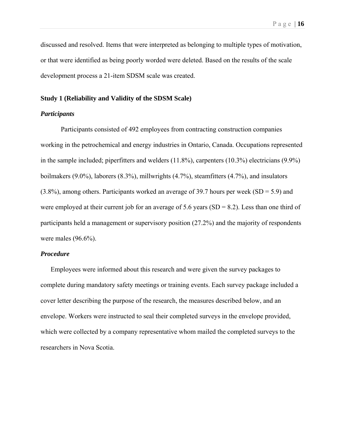discussed and resolved. Items that were interpreted as belonging to multiple types of motivation, or that were identified as being poorly worded were deleted. Based on the results of the scale development process a 21-item SDSM scale was created.

#### **Study 1 (Reliability and Validity of the SDSM Scale)**

#### *Participants*

 Participants consisted of 492 employees from contracting construction companies working in the petrochemical and energy industries in Ontario, Canada. Occupations represented in the sample included; piperfitters and welders (11.8%), carpenters (10.3%) electricians (9.9%) boilmakers (9.0%), laborers (8.3%), millwrights (4.7%), steamfitters (4.7%), and insulators  $(3.8\%)$ , among others. Participants worked an average of 39.7 hours per week (SD = 5.9) and were employed at their current job for an average of 5.6 years  $(SD = 8.2)$ . Less than one third of participants held a management or supervisory position (27.2%) and the majority of respondents were males (96.6%).

#### *Procedure*

Employees were informed about this research and were given the survey packages to complete during mandatory safety meetings or training events. Each survey package included a cover letter describing the purpose of the research, the measures described below, and an envelope. Workers were instructed to seal their completed surveys in the envelope provided, which were collected by a company representative whom mailed the completed surveys to the researchers in Nova Scotia.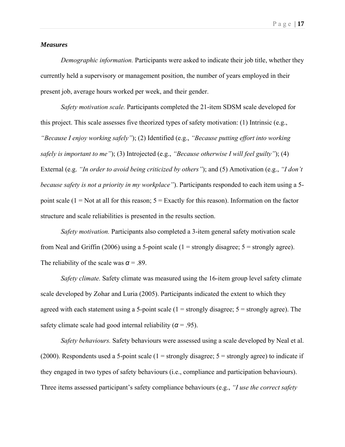#### *Measures*

*Demographic information.* Participants were asked to indicate their job title, whether they currently held a supervisory or management position, the number of years employed in their present job, average hours worked per week, and their gender.

 *Safety motivation scale.* Participants completed the 21-item SDSM scale developed for this project. This scale assesses five theorized types of safety motivation: (1) Intrinsic (e.g., *"Because I enjoy working safely"*); (2) Identified (e.g., *"Because putting effort into working safely is important to me"*); (3) Introjected (e.g., *"Because otherwise I will feel guilty"*); (4) External (e.g. *"In order to avoid being criticized by others"*); and (5) Amotivation (e.g., *"I don't because safety is not a priority in my workplace"*). Participants responded to each item using a 5 point scale  $(1 = Not at all for this reason; 5 = Exactly for this reason). Information on the factor$ structure and scale reliabilities is presented in the results section.

 *Safety motivation.* Participants also completed a 3-item general safety motivation scale from Neal and Griffin (2006) using a 5-point scale ( $1 =$  strongly disagree;  $5 =$  strongly agree). The reliability of the scale was  $\alpha$  = .89.

 *Safety climate.* Safety climate was measured using the 16-item group level safety climate scale developed by Zohar and Luria (2005). Participants indicated the extent to which they agreed with each statement using a 5-point scale  $(1 =$  strongly disagree;  $5 =$  strongly agree). The safety climate scale had good internal reliability ( $\alpha$  = .95).

 *Safety behaviours.* Safety behaviours were assessed using a scale developed by Neal et al. (2000). Respondents used a 5-point scale ( $1 =$  strongly disagree;  $5 =$  strongly agree) to indicate if they engaged in two types of safety behaviours (i.e., compliance and participation behaviours). Three items assessed participant's safety compliance behaviours (e.g., *"I use the correct safety*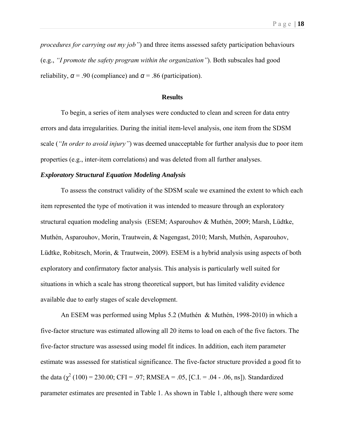*procedures for carrying out my job"*) and three items assessed safety participation behaviours (e.g., *"I promote the safety program within the organization"*). Both subscales had good reliability,  $\alpha$  = .90 (compliance) and  $\alpha$  = .86 (participation).

#### **Results**

 To begin, a series of item analyses were conducted to clean and screen for data entry errors and data irregularities. During the initial item-level analysis, one item from the SDSM scale (*"In order to avoid injury"*) was deemed unacceptable for further analysis due to poor item properties (e.g., inter-item correlations) and was deleted from all further analyses.

#### *Exploratory Structural Equation Modeling Analysis*

To assess the construct validity of the SDSM scale we examined the extent to which each item represented the type of motivation it was intended to measure through an exploratory structural equation modeling analysis (ESEM; Asparouhov & Muthén, 2009; Marsh, Lüdtke, Muthén, Asparouhov, Morin, Trautwein, & Nagengast, 2010; Marsh, Muthén, Asparouhov, Lüdtke, Robitzsch, Morin, & Trautwein, 2009). ESEM is a hybrid analysis using aspects of both exploratory and confirmatory factor analysis. This analysis is particularly well suited for situations in which a scale has strong theoretical support, but has limited validity evidence available due to early stages of scale development.

An ESEM was performed using Mplus 5.2 (Muthén & Muthén, 1998-2010) in which a five-factor structure was estimated allowing all 20 items to load on each of the five factors. The five-factor structure was assessed using model fit indices. In addition, each item parameter estimate was assessed for statistical significance. The five-factor structure provided a good fit to the data  $\chi^2$  (100) = 230.00; CFI = .97; RMSEA = .05, [C.I. = .04 - .06, ns]). Standardized parameter estimates are presented in Table 1. As shown in Table 1, although there were some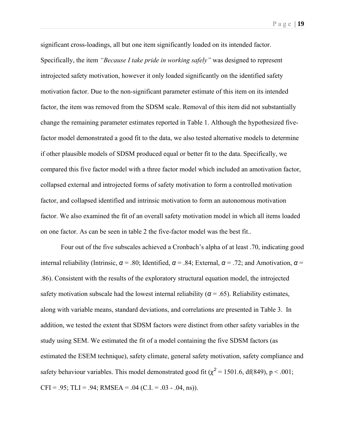significant cross-loadings, all but one item significantly loaded on its intended factor. Specifically, the item *"Because I take pride in working safely"* was designed to represent introjected safety motivation, however it only loaded significantly on the identified safety motivation factor. Due to the non-significant parameter estimate of this item on its intended factor, the item was removed from the SDSM scale. Removal of this item did not substantially change the remaining parameter estimates reported in Table 1. Although the hypothesized fivefactor model demonstrated a good fit to the data, we also tested alternative models to determine if other plausible models of SDSM produced equal or better fit to the data. Specifically, we compared this five factor model with a three factor model which included an amotivation factor, collapsed external and introjected forms of safety motivation to form a controlled motivation factor, and collapsed identified and intrinsic motivation to form an autonomous motivation factor. We also examined the fit of an overall safety motivation model in which all items loaded on one factor. As can be seen in table 2 the five-factor model was the best fit..

Four out of the five subscales achieved a Cronbach's alpha of at least .70, indicating good internal reliability (Intrinsic,  $\alpha$  = .80; Identified,  $\alpha$  = .84; External,  $\alpha$  = .72; and Amotivation,  $\alpha$  = .86). Consistent with the results of the exploratory structural equation model, the introjected safety motivation subscale had the lowest internal reliability ( $\alpha$  = .65). Reliability estimates, along with variable means, standard deviations, and correlations are presented in Table 3. In addition, we tested the extent that SDSM factors were distinct from other safety variables in the study using SEM. We estimated the fit of a model containing the five SDSM factors (as estimated the ESEM technique), safety climate, general safety motivation, safety compliance and safety behaviour variables. This model demonstrated good fit ( $\chi^2$  = 1501.6, df(849), p < .001; CFI = .95; TLI = .94; RMSEA = .04 (C.I. = .03 - .04, ns)).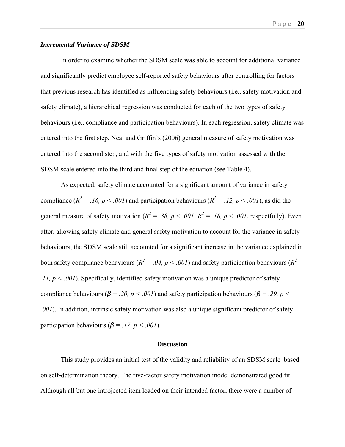#### *Incremental Variance of SDSM*

 In order to examine whether the SDSM scale was able to account for additional variance and significantly predict employee self-reported safety behaviours after controlling for factors that previous research has identified as influencing safety behaviours (i.e., safety motivation and safety climate), a hierarchical regression was conducted for each of the two types of safety behaviours (i.e., compliance and participation behaviours). In each regression, safety climate was entered into the first step, Neal and Griffin's (2006) general measure of safety motivation was entered into the second step, and with the five types of safety motivation assessed with the SDSM scale entered into the third and final step of the equation (see Table 4).

 As expected, safety climate accounted for a significant amount of variance in safety compliance  $(R^2 = 0.16, p < 0.001)$  and participation behaviours  $(R^2 = 0.12, p < 0.001)$ , as did the general measure of safety motivation ( $R^2 = 0.38$ ,  $p < 0.001$ ;  $R^2 = 0.18$ ,  $p < 0.001$ , respectfully). Even after, allowing safety climate and general safety motivation to account for the variance in safety behaviours, the SDSM scale still accounted for a significant increase in the variance explained in both safety compliance behaviours ( $R^2 = .04$ ,  $p < .001$ ) and safety participation behaviours ( $R^2 =$ *.11, p < .001*). Specifically, identified safety motivation was a unique predictor of safety compliance behaviours ( $β = .20, p < .001$ ) and safety participation behaviours ( $β = .29, p <$ *.001*). In addition, intrinsic safety motivation was also a unique significant predictor of safety participation behaviours ( $\beta = .17$ ,  $p < .001$ ).

#### **Discussion**

 This study provides an initial test of the validity and reliability of an SDSM scale based on self-determination theory. The five-factor safety motivation model demonstrated good fit. Although all but one introjected item loaded on their intended factor, there were a number of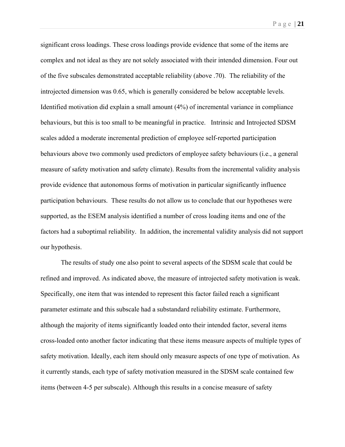Page | **21** 

significant cross loadings. These cross loadings provide evidence that some of the items are complex and not ideal as they are not solely associated with their intended dimension. Four out of the five subscales demonstrated acceptable reliability (above .70). The reliability of the introjected dimension was 0.65, which is generally considered be below acceptable levels. Identified motivation did explain a small amount (4%) of incremental variance in compliance behaviours, but this is too small to be meaningful in practice. Intrinsic and Introjected SDSM scales added a moderate incremental prediction of employee self-reported participation behaviours above two commonly used predictors of employee safety behaviours (i.e., a general measure of safety motivation and safety climate). Results from the incremental validity analysis provide evidence that autonomous forms of motivation in particular significantly influence participation behaviours. These results do not allow us to conclude that our hypotheses were supported, as the ESEM analysis identified a number of cross loading items and one of the factors had a suboptimal reliability. In addition, the incremental validity analysis did not support our hypothesis.

The results of study one also point to several aspects of the SDSM scale that could be refined and improved. As indicated above, the measure of introjected safety motivation is weak. Specifically, one item that was intended to represent this factor failed reach a significant parameter estimate and this subscale had a substandard reliability estimate. Furthermore, although the majority of items significantly loaded onto their intended factor, several items cross-loaded onto another factor indicating that these items measure aspects of multiple types of safety motivation. Ideally, each item should only measure aspects of one type of motivation. As it currently stands, each type of safety motivation measured in the SDSM scale contained few items (between 4-5 per subscale). Although this results in a concise measure of safety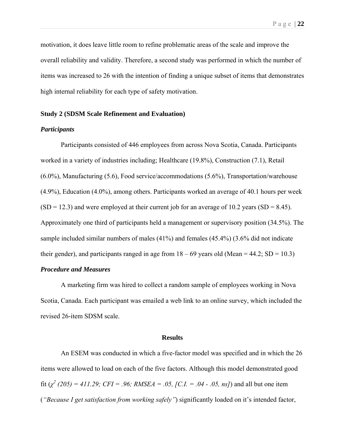motivation, it does leave little room to refine problematic areas of the scale and improve the overall reliability and validity. Therefore, a second study was performed in which the number of items was increased to 26 with the intention of finding a unique subset of items that demonstrates high internal reliability for each type of safety motivation.

#### **Study 2 (SDSM Scale Refinement and Evaluation)**

#### *Participants*

Participants consisted of 446 employees from across Nova Scotia, Canada. Participants worked in a variety of industries including; Healthcare (19.8%), Construction (7.1), Retail (6.0%), Manufacturing (5.6), Food service/accommodations (5.6%), Transportation/warehouse (4.9%), Education (4.0%), among others. Participants worked an average of 40.1 hours per week  $(SD = 12.3)$  and were employed at their current job for an average of 10.2 years  $(SD = 8.45)$ . Approximately one third of participants held a management or supervisory position (34.5%). The sample included similar numbers of males (41%) and females (45.4%) (3.6% did not indicate their gender), and participants ranged in age from  $18 - 69$  years old (Mean = 44.2; SD = 10.3)

#### *Procedure and Measures*

 A marketing firm was hired to collect a random sample of employees working in Nova Scotia, Canada. Each participant was emailed a web link to an online survey, which included the revised 26-item SDSM scale.

#### **Results**

 An ESEM was conducted in which a five-factor model was specified and in which the 26 items were allowed to load on each of the five factors. Although this model demonstrated good fit  $(\chi^2 (205) = 411.29$ ; CFI = .96; RMSEA = .05, [C.I. = .04 - .05, ns]) and all but one item (*"Because I get satisfaction from working safely"*) significantly loaded on it's intended factor,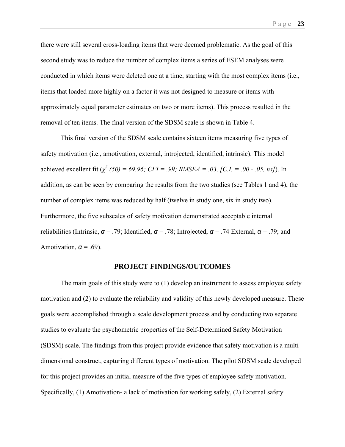there were still several cross-loading items that were deemed problematic. As the goal of this second study was to reduce the number of complex items a series of ESEM analyses were conducted in which items were deleted one at a time, starting with the most complex items (i.e., items that loaded more highly on a factor it was not designed to measure or items with approximately equal parameter estimates on two or more items). This process resulted in the removal of ten items. The final version of the SDSM scale is shown in Table 4.

This final version of the SDSM scale contains sixteen items measuring five types of safety motivation (i.e., amotivation, external, introjected, identified, intrinsic). This model achieved excellent fit  $(\chi^2 (50) = 69.96; CFI = .99; RMSEA = .03, [C.I. = .00 - .05, ns])$ . In addition, as can be seen by comparing the results from the two studies (see Tables 1 and 4), the number of complex items was reduced by half (twelve in study one, six in study two). Furthermore, the five subscales of safety motivation demonstrated acceptable internal reliabilities (Intrinsic,  $\alpha$  = .79; Identified,  $\alpha$  = .78; Introjected,  $\alpha$  = .74 External,  $\alpha$  = .79; and Amotivation,  $\alpha$  = .69).

#### **PROJECT FINDINGS/OUTCOMES**

The main goals of this study were to (1) develop an instrument to assess employee safety motivation and (2) to evaluate the reliability and validity of this newly developed measure. These goals were accomplished through a scale development process and by conducting two separate studies to evaluate the psychometric properties of the Self-Determined Safety Motivation (SDSM) scale. The findings from this project provide evidence that safety motivation is a multidimensional construct, capturing different types of motivation. The pilot SDSM scale developed for this project provides an initial measure of the five types of employee safety motivation. Specifically, (1) Amotivation- a lack of motivation for working safely, (2) External safety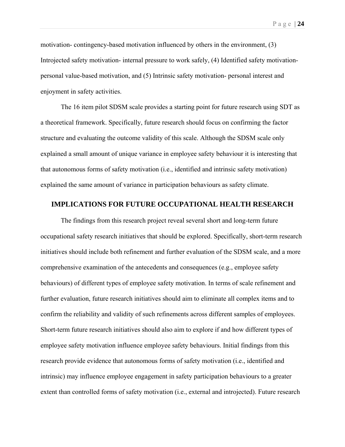motivation- contingency-based motivation influenced by others in the environment, (3) Introjected safety motivation- internal pressure to work safely, (4) Identified safety motivationpersonal value-based motivation, and (5) Intrinsic safety motivation- personal interest and enjoyment in safety activities.

The 16 item pilot SDSM scale provides a starting point for future research using SDT as a theoretical framework. Specifically, future research should focus on confirming the factor structure and evaluating the outcome validity of this scale. Although the SDSM scale only explained a small amount of unique variance in employee safety behaviour it is interesting that that autonomous forms of safety motivation (i.e., identified and intrinsic safety motivation) explained the same amount of variance in participation behaviours as safety climate.

#### **IMPLICATIONS FOR FUTURE OCCUPATIONAL HEALTH RESEARCH**

The findings from this research project reveal several short and long-term future occupational safety research initiatives that should be explored. Specifically, short-term research initiatives should include both refinement and further evaluation of the SDSM scale, and a more comprehensive examination of the antecedents and consequences (e.g., employee safety behaviours) of different types of employee safety motivation. In terms of scale refinement and further evaluation, future research initiatives should aim to eliminate all complex items and to confirm the reliability and validity of such refinements across different samples of employees. Short-term future research initiatives should also aim to explore if and how different types of employee safety motivation influence employee safety behaviours. Initial findings from this research provide evidence that autonomous forms of safety motivation (i.e., identified and intrinsic) may influence employee engagement in safety participation behaviours to a greater extent than controlled forms of safety motivation (i.e., external and introjected). Future research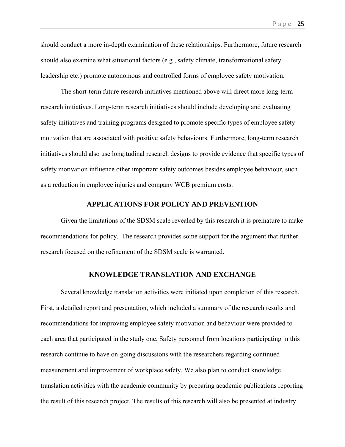should conduct a more in-depth examination of these relationships. Furthermore, future research should also examine what situational factors (e.g., safety climate, transformational safety leadership etc.) promote autonomous and controlled forms of employee safety motivation.

The short-term future research initiatives mentioned above will direct more long-term research initiatives. Long-term research initiatives should include developing and evaluating safety initiatives and training programs designed to promote specific types of employee safety motivation that are associated with positive safety behaviours. Furthermore, long-term research initiatives should also use longitudinal research designs to provide evidence that specific types of safety motivation influence other important safety outcomes besides employee behaviour, such as a reduction in employee injuries and company WCB premium costs.

#### **APPLICATIONS FOR POLICY AND PREVENTION**

Given the limitations of the SDSM scale revealed by this research it is premature to make recommendations for policy. The research provides some support for the argument that further research focused on the refinement of the SDSM scale is warranted.

#### **KNOWLEDGE TRANSLATION AND EXCHANGE**

 Several knowledge translation activities were initiated upon completion of this research. First, a detailed report and presentation, which included a summary of the research results and recommendations for improving employee safety motivation and behaviour were provided to each area that participated in the study one. Safety personnel from locations participating in this research continue to have on-going discussions with the researchers regarding continued measurement and improvement of workplace safety. We also plan to conduct knowledge translation activities with the academic community by preparing academic publications reporting the result of this research project. The results of this research will also be presented at industry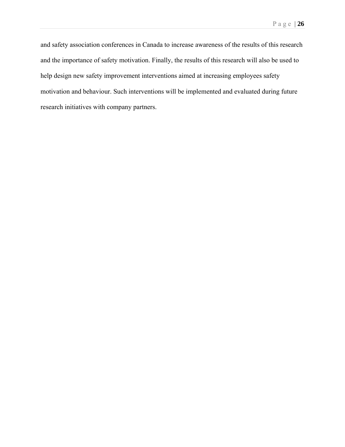and safety association conferences in Canada to increase awareness of the results of this research and the importance of safety motivation. Finally, the results of this research will also be used to help design new safety improvement interventions aimed at increasing employees safety motivation and behaviour. Such interventions will be implemented and evaluated during future research initiatives with company partners.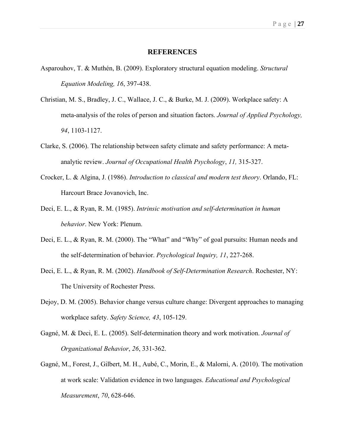#### **REFERENCES**

- Asparouhov, T. & Muthén, B. (2009). Exploratory structural equation modeling. *Structural Equation Modeling, 16*, 397-438.
- Christian, M. S., Bradley, J. C., Wallace, J. C., & Burke, M. J. (2009). Workplace safety: A meta-analysis of the roles of person and situation factors. *Journal of Applied Psychology, 94*, 1103-1127.
- Clarke, S. (2006). The relationship between safety climate and safety performance: A metaanalytic review. *Journal of Occupational Health Psychology*, *11,* 315-327.
- Crocker, L. & Algina, J. (1986). *Introduction to classical and modern test theory*. Orlando, FL: Harcourt Brace Jovanovich, Inc.
- Deci, E. L., & Ryan, R. M. (1985). *Intrinsic motivation and self-determination in human behavior*. New York: Plenum.
- Deci, E. L., & Ryan, R. M. (2000). The "What" and "Why" of goal pursuits: Human needs and the self-determination of behavior. *Psychological Inquiry, 11*, 227-268.
- Deci, E. L., & Ryan, R. M. (2002). *Handbook of Self-Determination Research*. Rochester, NY: The University of Rochester Press.
- Dejoy, D. M. (2005). Behavior change versus culture change: Divergent approaches to managing workplace safety. *Safety Science, 43*, 105-129.
- Gagné, M. & Deci, E. L. (2005). Self-determination theory and work motivation. *Journal of Organizational Behavior*, *26*, 331-362.
- Gagné, M., Forest, J., Gilbert, M. H., Aubé, C., Morin, E., & Malorni, A. (2010). The motivation at work scale: Validation evidence in two languages. *Educational and Psychological Measurement*, *70*, 628-646.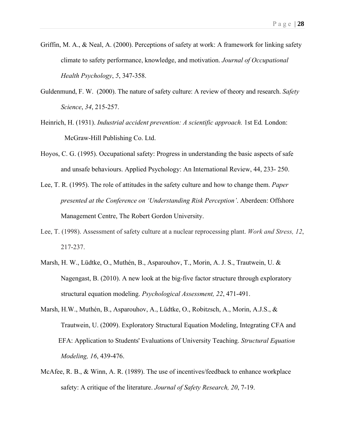- Griffin, M. A., & Neal, A. (2000). Perceptions of safety at work: A framework for linking safety climate to safety performance, knowledge, and motivation. *Journal of Occupational Health Psychology*, *5*, 347-358.
- Guldenmund, F. W. (2000). The nature of safety culture: A review of theory and research. *Safety Science*, *34*, 215-257.
- Heinrich, H. (1931). *Industrial accident prevention: A scientific approach*. 1st Ed. London: McGraw-Hill Publishing Co. Ltd.
- Hoyos, C. G. (1995). Occupational safety: Progress in understanding the basic aspects of safe and unsafe behaviours. Applied Psychology: An International Review, 44, 233- 250.
- Lee, T. R. (1995). The role of attitudes in the safety culture and how to change them. *Paper presented at the Conference on 'Understanding Risk Perception'*. Aberdeen: Offshore Management Centre, The Robert Gordon University.
- Lee, T. (1998). Assessment of safety culture at a nuclear reprocessing plant. *Work and Stress, 12*, 217-237.
- Marsh, H. W., Lüdtke, O., Muthén, B., Asparouhov, T., Morin, A. J. S., Trautwein, U. & Nagengast, B. (2010). A new look at the big-five factor structure through exploratory structural equation modeling. *Psychological Assessment, 22*, 471-491.
- Marsh, H.W., Muthén, B., Asparouhov, A., Lüdtke, O., Robitzsch, A., Morin, A.J.S., & Trautwein, U. (2009). Exploratory Structural Equation Modeling, Integrating CFA and EFA: Application to Students' Evaluations of University Teaching. *Structural Equation Modeling, 16*, 439-476.
- McAfee, R. B., & Winn, A. R. (1989). The use of incentives/feedback to enhance workplace safety: A critique of the literature. *Journal of Safety Research, 20*, 7-19.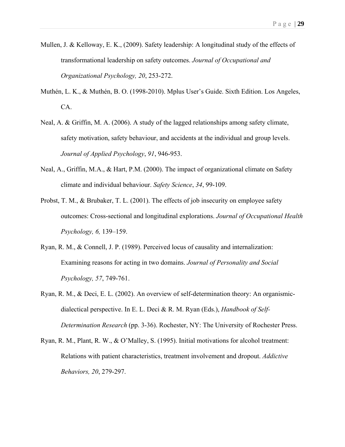- Mullen, J. & Kelloway, E. K., (2009). Safety leadership: A longitudinal study of the effects of transformational leadership on safety outcomes. *Journal of Occupational and Organizational Psychology, 20*, 253-272.
- Muthén, L. K., & Muthén, B. O. (1998-2010). Mplus User's Guide. Sixth Edition. Los Angeles, CA.
- Neal, A. & Griffin, M. A. (2006). A study of the lagged relationships among safety climate, safety motivation, safety behaviour, and accidents at the individual and group levels. *Journal of Applied Psychology*, *91*, 946-953.
- Neal, A., Griffin, M.A., & Hart, P.M. (2000). The impact of organizational climate on Safety climate and individual behaviour. *Safety Science*, *34*, 99-109.
- Probst, T. M., & Brubaker, T. L. (2001). The effects of job insecurity on employee safety outcomes: Cross-sectional and longitudinal explorations. *Journal of Occupational Health Psychology, 6,* 139–159.
- Ryan, R. M., & Connell, J. P. (1989). Perceived locus of causality and internalization: Examining reasons for acting in two domains. *Journal of Personality and Social Psychology, 57*, 749-761.
- Ryan, R. M., & Deci, E. L. (2002). An overview of self-determination theory: An organismicdialectical perspective. In E. L. Deci & R. M. Ryan (Eds.), *Handbook of Self-Determination Research* (pp. 3-36). Rochester, NY: The University of Rochester Press.
- Ryan, R. M., Plant, R. W., & O'Malley, S. (1995). Initial motivations for alcohol treatment: Relations with patient characteristics, treatment involvement and dropout. *Addictive Behaviors, 20*, 279-297.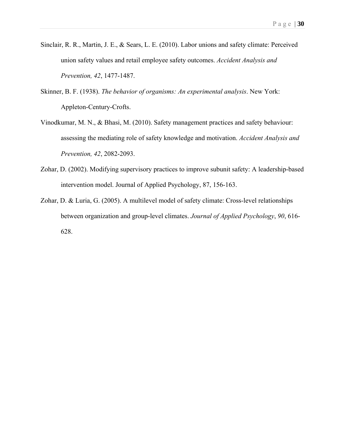- Sinclair, R. R., Martin, J. E., & Sears, L. E. (2010). Labor unions and safety climate: Perceived union safety values and retail employee safety outcomes. *Accident Analysis and Prevention, 42*, 1477-1487.
- Skinner, B. F. (1938). *The behavior of organisms: An experimental analysis*. New York: Appleton-Century-Crofts.
- Vinodkumar, M. N., & Bhasi, M. (2010). Safety management practices and safety behaviour: assessing the mediating role of safety knowledge and motivation. *Accident Analysis and Prevention, 42*, 2082-2093.
- Zohar, D. (2002). Modifying supervisory practices to improve subunit safety: A leadership-based intervention model. Journal of Applied Psychology, 87, 156-163.
- Zohar, D. & Luria, G. (2005). A multilevel model of safety climate: Cross-level relationships between organization and group-level climates. *Journal of Applied Psychology*, *90*, 616- 628.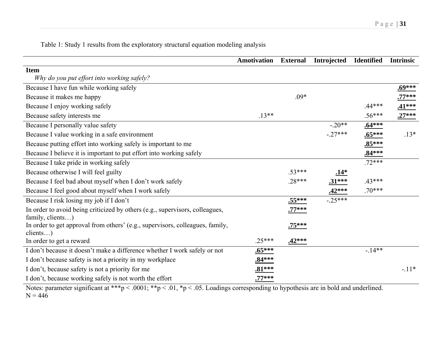Table 1: Study 1 results from the exploratory structural equation modeling analysis

| <b>Amotivation</b> | <b>External</b>                             | <b>Introjected</b> | <b>Identified</b> | <b>Intrinsic</b> |
|--------------------|---------------------------------------------|--------------------|-------------------|------------------|
|                    |                                             |                    |                   |                  |
|                    |                                             |                    |                   |                  |
|                    |                                             |                    |                   | $.69***$         |
|                    | $.09*$                                      |                    |                   | $.77***$         |
|                    |                                             |                    | $44***$           | $.41***$         |
| $.13**$            |                                             |                    | $.56***$          | $.27***$         |
|                    |                                             | $-.20**$           | $.64***$          |                  |
|                    |                                             | $-27***$           | $.65***$          | $.13*$           |
|                    |                                             |                    | $.85***$          |                  |
|                    |                                             |                    | $.84***$          |                  |
|                    |                                             |                    | $.72***$          |                  |
|                    | $.53***$                                    | <u>.14*</u>        |                   |                  |
|                    | $.28***$                                    | $.31***$           | $.43***$          |                  |
|                    |                                             | $.42***$           | $.70***$          |                  |
|                    | $.55***$                                    | $-25***$           |                   |                  |
|                    | $.77***$                                    |                    |                   |                  |
|                    | $.75***$                                    |                    |                   |                  |
|                    |                                             |                    |                   |                  |
|                    |                                             |                    |                   |                  |
|                    |                                             |                    |                   |                  |
|                    |                                             |                    |                   |                  |
| $.81***$           |                                             |                    |                   | $-.11*$          |
| $.77***$           |                                             |                    |                   |                  |
|                    | $.25***$<br>$.65***$<br>$.84***$<br>$\cdot$ | $.42***$           | 1.11              | $-14**$<br>1.11  |

Notes: parameter significant at \*\*\*p < .0001; \*\*p < .01, \*p < .05. Loadings corresponding to hypothesis are in bold and underlined.  $N = 446$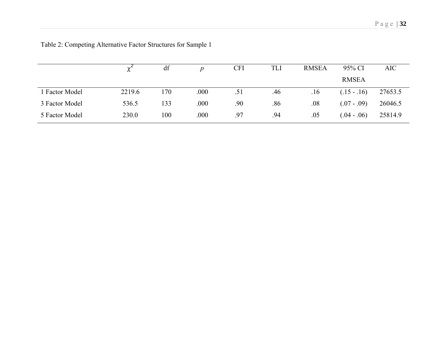|                     |        | df  |       | <b>CFI</b> | TLI | <b>RMSEA</b> | 95% CI       | <b>AIC</b> |
|---------------------|--------|-----|-------|------------|-----|--------------|--------------|------------|
|                     |        |     |       |            |     |              | <b>RMSEA</b> |            |
| <b>Factor Model</b> | 2219.6 | 170 | .000  | .51        | .46 | .16          | $(.15-.16)$  | 27653.5    |
| 3 Factor Model      | 536.5  | 133 | .000. | .90        | .86 | .08          | $(.07-.09)$  | 26046.5    |
| 5 Factor Model      | 230.0  | 100 | .000  | .97        | .94 | .05          | $(.04-.06)$  | 25814.9    |

Table 2: Competing Alternative Factor Structures for Sample 1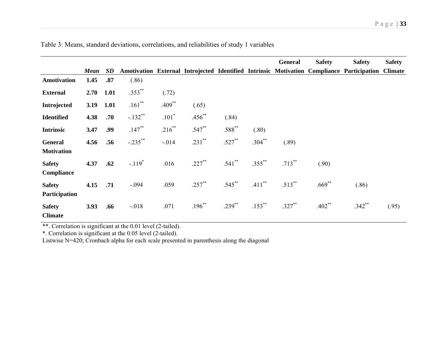|                                     |             |           |            |           |           |             |           | <b>General</b> | <b>Safety</b> | <b>Safety</b>                                                                             | <b>Safety</b>  |
|-------------------------------------|-------------|-----------|------------|-----------|-----------|-------------|-----------|----------------|---------------|-------------------------------------------------------------------------------------------|----------------|
|                                     | <b>Mean</b> | <b>SD</b> |            |           |           |             |           |                |               | Amotivation External Introjected Identified Intrinsic Motivation Compliance Participation | <b>Climate</b> |
| Amotivation                         | 1.45        | .87       | (.86)      |           |           |             |           |                |               |                                                                                           |                |
| <b>External</b>                     | 2.70        | 1.01      | $.353***$  | (.72)     |           |             |           |                |               |                                                                                           |                |
| Introjected                         | 3.19        | 1.01      | $.161***$  | $.409**$  | (.65)     |             |           |                |               |                                                                                           |                |
| <b>Identified</b>                   | 4.38        | .70       | $-.132**$  | $.101*$   | $.456$ ** | (.84)       |           |                |               |                                                                                           |                |
| <b>Intrinsic</b>                    | 3.47        | .99       | $.147***$  | $.216***$ | $.547**$  | $.588$ **   | (.80)     |                |               |                                                                                           |                |
| <b>General</b><br><b>Motivation</b> | 4.56        | .56       | $-.235***$ | $-.014$   | .231**    | $.527***$   | $.304***$ | (.89)          |               |                                                                                           |                |
| <b>Safety</b><br>Compliance         | 4.37        | .62       | $-.119*$   | .016      | $.227***$ | $.541$ **   | $.355***$ | $.713***$      | (.90)         |                                                                                           |                |
| <b>Safety</b><br>Participation      | 4.15        | .71       | $-.094$    | .059      | $.257$ ** | $.545$ **   | $.411***$ | $.513***$      | $.669$ **     | (.86)                                                                                     |                |
| <b>Safety</b><br><b>Climate</b>     | 3.93        | .66       | $-.018$    | .071      | $.196***$ | $.239^{**}$ | $.153***$ | $.327***$      | $.402**$      | $.342**$                                                                                  | (.95)          |

Table 3: Means, standard deviations, correlations, and reliabilities of study 1 variables

\*\*. Correlation is significant at the 0.01 level (2-tailed).

\*. Correlation is significant at the 0.05 level (2-tailed).

Listwise N=420; Cronbach alpha for each scale presented in parenthesis along the diagonal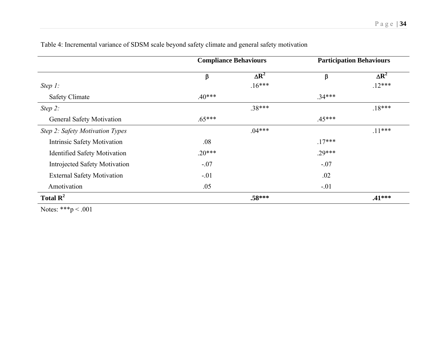|                                      | <b>Compliance Behaviours</b> |              |          | <b>Participation Behaviours</b> |
|--------------------------------------|------------------------------|--------------|----------|---------------------------------|
|                                      | β                            | $\Delta R^2$ | β        | $\Delta R^2$                    |
| Step $1$ :                           |                              | $.16***$     |          | $.12***$                        |
| <b>Safety Climate</b>                | $.40***$                     |              | $.34***$ |                                 |
| Step 2:                              |                              | .38***       |          | $.18***$                        |
| <b>General Safety Motivation</b>     | $.65***$                     |              | $.45***$ |                                 |
| Step 2: Safety Motivation Types      |                              | $.04***$     |          | $.11***$                        |
| <b>Intrinsic Safety Motivation</b>   | .08                          |              | $.17***$ |                                 |
| <b>Identified Safety Motivation</b>  | $.20***$                     |              | $.29***$ |                                 |
| <b>Introjected Safety Motivation</b> | $-.07$                       |              | $-.07$   |                                 |
| <b>External Safety Motivation</b>    | $-.01$                       |              | .02      |                                 |
| Amotivation                          | .05                          |              | $-.01$   |                                 |
| Total $\mathbb{R}^2$                 |                              | $.58***$     |          | $.41***$                        |

Table 4: Incremental variance of SDSM scale beyond safety climate and general safety motivation

Notes: \*\*\*p < .001